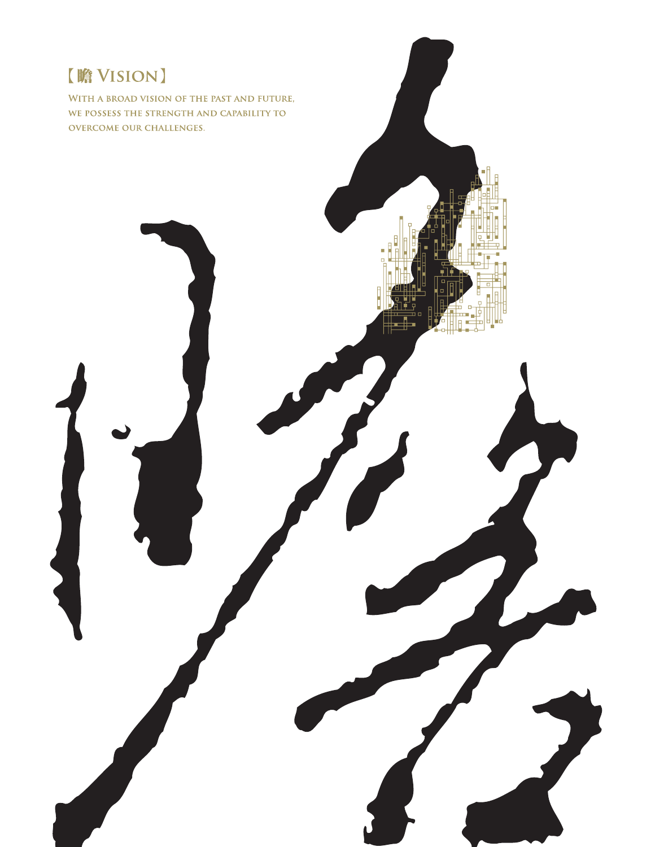## 【瞻 VISION】

WITH A BROAD VISION OF THE PAST AND FUTURE, WE POSSESS THE STRENGTH AND CAPABILITY TO **OVERCOME OUR CHALLENGES.**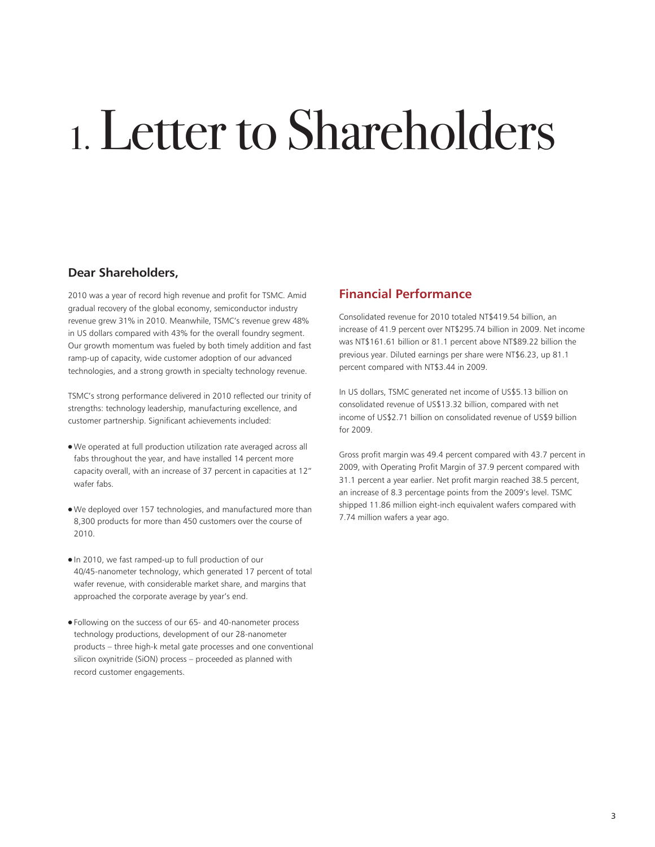# 1.Letter to Shareholders

#### **Dear Shareholders,**

2010 was a year of record high revenue and profit for TSMC. Amid gradual recovery of the global economy, semiconductor industry revenue grew 31% in 2010. Meanwhile, TSMC's revenue grew 48% in US dollars compared with 43% for the overall foundry segment. Our growth momentum was fueled by both timely addition and fast ramp-up of capacity, wide customer adoption of our advanced technologies, and a strong growth in specialty technology revenue.

TSMC's strong performance delivered in 2010 reflected our trinity of strengths: technology leadership, manufacturing excellence, and customer partnership. Significant achievements included:

- We operated at full production utilization rate averaged across all fabs throughout the year, and have installed 14 percent more capacity overall, with an increase of 37 percent in capacities at 12" wafer fabs.
- We deployed over 157 technologies, and manufactured more than 8,300 products for more than 450 customers over the course of 2010.
- In 2010, we fast ramped-up to full production of our 40/45-nanometer technology, which generated 17 percent of total wafer revenue, with considerable market share, and margins that approached the corporate average by year's end.
- Following on the success of our 65- and 40-nanometer process technology productions, development of our 28-nanometer products – three high-k metal gate processes and one conventional silicon oxynitride (SiON) process – proceeded as planned with record customer engagements.

### **Financial Performance**

Consolidated revenue for 2010 totaled NT\$419.54 billion, an increase of 41.9 percent over NT\$295.74 billion in 2009. Net income was NT\$161.61 billion or 81.1 percent above NT\$89.22 billion the previous year. Diluted earnings per share were NT\$6.23, up 81.1 percent compared with NT\$3.44 in 2009.

In US dollars, TSMC generated net income of US\$5.13 billion on consolidated revenue of US\$13.32 billion, compared with net income of US\$2.71 billion on consolidated revenue of US\$9 billion for 2009.

Gross profit margin was 49.4 percent compared with 43.7 percent in 2009, with Operating Profit Margin of 37.9 percent compared with 31.1 percent a year earlier. Net profit margin reached 38.5 percent, an increase of 8.3 percentage points from the 2009's level. TSMC shipped 11.86 million eight-inch equivalent wafers compared with 7.74 million wafers a year ago.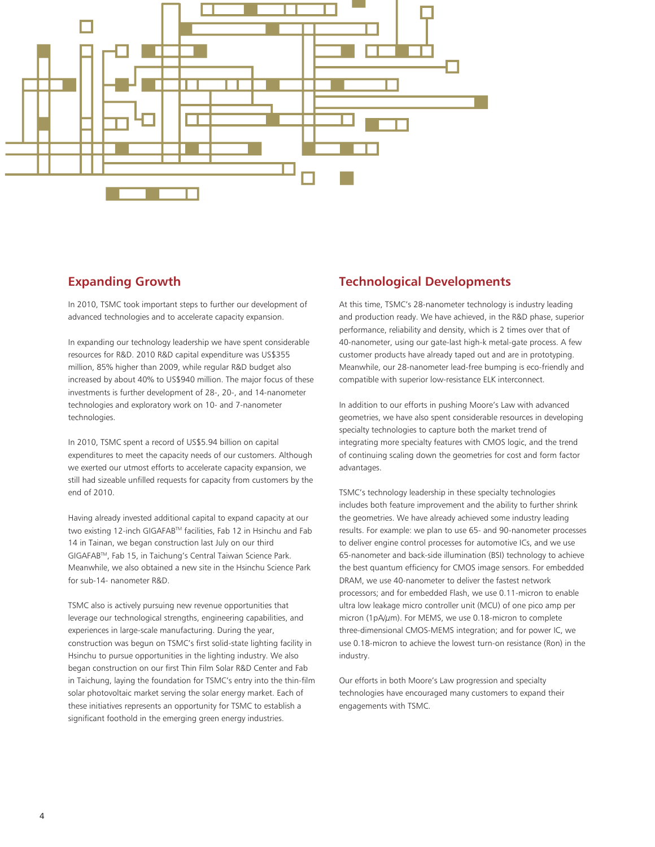

#### **Expanding Growth**

In 2010, TSMC took important steps to further our development of advanced technologies and to accelerate capacity expansion.

In expanding our technology leadership we have spent considerable resources for R&D. 2010 R&D capital expenditure was US\$355 million, 85% higher than 2009, while regular R&D budget also increased by about 40% to US\$940 million. The major focus of these investments is further development of 28-, 20-, and 14-nanometer technologies and exploratory work on 10- and 7-nanometer technologies.

In 2010, TSMC spent a record of US\$5.94 billion on capital expenditures to meet the capacity needs of our customers. Although we exerted our utmost efforts to accelerate capacity expansion, we still had sizeable unfilled requests for capacity from customers by the end of 2010.

Having already invested additional capital to expand capacity at our two existing 12-inch GIGAFABTM facilities, Fab 12 in Hsinchu and Fab 14 in Tainan, we began construction last July on our third GIGAFABTM, Fab 15, in Taichung's Central Taiwan Science Park. Meanwhile, we also obtained a new site in the Hsinchu Science Park for sub-14- nanometer R&D.

TSMC also is actively pursuing new revenue opportunities that leverage our technological strengths, engineering capabilities, and experiences in large-scale manufacturing. During the year, construction was begun on TSMC's first solid-state lighting facility in Hsinchu to pursue opportunities in the lighting industry. We also began construction on our first Thin Film Solar R&D Center and Fab in Taichung, laying the foundation for TSMC's entry into the thin-film solar photovoltaic market serving the solar energy market. Each of these initiatives represents an opportunity for TSMC to establish a significant foothold in the emerging green energy industries.

#### **Technological Developments**

At this time, TSMC's 28-nanometer technology is industry leading and production ready. We have achieved, in the R&D phase, superior performance, reliability and density, which is 2 times over that of 40-nanometer, using our gate-last high-k metal-gate process. A few customer products have already taped out and are in prototyping. Meanwhile, our 28-nanometer lead-free bumping is eco-friendly and compatible with superior low-resistance ELK interconnect.

In addition to our efforts in pushing Moore's Law with advanced geometries, we have also spent considerable resources in developing specialty technologies to capture both the market trend of integrating more specialty features with CMOS logic, and the trend of continuing scaling down the geometries for cost and form factor advantages.

TSMC's technology leadership in these specialty technologies includes both feature improvement and the ability to further shrink the geometries. We have already achieved some industry leading results. For example: we plan to use 65- and 90-nanometer processes to deliver engine control processes for automotive ICs, and we use 65-nanometer and back-side illumination (BSI) technology to achieve the best quantum efficiency for CMOS image sensors. For embedded DRAM, we use 40-nanometer to deliver the fastest network processors; and for embedded Flash, we use 0.11-micron to enable ultra low leakage micro controller unit (MCU) of one pico amp per micron (1pA/μm). For MEMS, we use 0.18-micron to complete three-dimensional CMOS-MEMS integration; and for power IC, we use 0.18-micron to achieve the lowest turn-on resistance (Ron) in the industry.

Our efforts in both Moore's Law progression and specialty technologies have encouraged many customers to expand their engagements with TSMC.